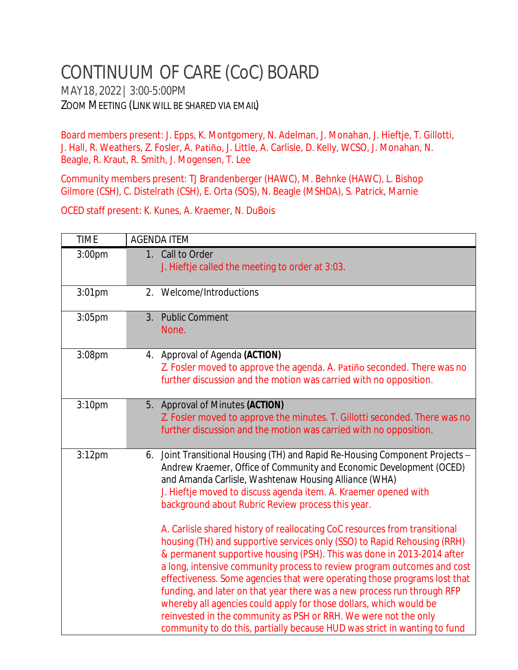## CONTINUUM OF CARE (CoC) BOARD

MAY18,2022| 3:00-5:00PM ZOOM MEETING (LINK WILL BE SHARED VIA EMAIL)

Board members present: J. Epps, K. Montgomery, N. Adelman, J. Monahan, J. Hieftje, T. Gillotti, J. Hall, R. Weathers, Z. Fosler, A. Patiño, J. Little, A. Carlisle, D. Kelly, WCSO, J. Monahan, N. Beagle, R. Kraut, R. Smith, J. Mogensen, T. Lee

Community members present: TJ Brandenberger (HAWC), M. Behnke (HAWC), L. Bishop Gilmore (CSH), C. Distelrath (CSH), E. Orta (SOS), N. Beagle (MSHDA), S. Patrick, Marnie

OCED staff present: K. Kunes, A. Kraemer, N. DuBois

| <b>TIME</b>        | <b>AGENDA ITEM</b>                                                                                                                                                                                                                                                                                                                                                                                                                                                                                                                                                       |
|--------------------|--------------------------------------------------------------------------------------------------------------------------------------------------------------------------------------------------------------------------------------------------------------------------------------------------------------------------------------------------------------------------------------------------------------------------------------------------------------------------------------------------------------------------------------------------------------------------|
| 3:00pm             | 1. Call to Order<br>J. Hieftje called the meeting to order at 3:03.                                                                                                                                                                                                                                                                                                                                                                                                                                                                                                      |
| $3:01$ pm          | 2. Welcome/Introductions                                                                                                                                                                                                                                                                                                                                                                                                                                                                                                                                                 |
| 3:05pm             | <b>Public Comment</b><br>3.<br>None.                                                                                                                                                                                                                                                                                                                                                                                                                                                                                                                                     |
| 3:08pm             | 4. Approval of Agenda (ACTION)<br>Z. Fosler moved to approve the agenda. A. Patiño seconded. There was no<br>further discussion and the motion was carried with no opposition.                                                                                                                                                                                                                                                                                                                                                                                           |
| 3:10 <sub>pm</sub> | 5. Approval of Minutes (ACTION)<br>Z. Fosler moved to approve the minutes. T. Gillotti seconded. There was no<br>further discussion and the motion was carried with no opposition.                                                                                                                                                                                                                                                                                                                                                                                       |
| $3:12$ pm          | 6. Joint Transitional Housing (TH) and Rapid Re-Housing Component Projects -<br>Andrew Kraemer, Office of Community and Economic Development (OCED)<br>and Amanda Carlisle, Washtenaw Housing Alliance (WHA)<br>J. Hieftje moved to discuss agenda item. A. Kraemer opened with<br>background about Rubric Review process this year.<br>A. Carlisle shared history of reallocating CoC resources from transitional<br>housing (TH) and supportive services only (SSO) to Rapid Rehousing (RRH)<br>& permanent supportive housing (PSH). This was done in 2013-2014 after |
|                    | a long, intensive community process to review program outcomes and cost<br>effectiveness. Some agencies that were operating those programs lost that<br>funding, and later on that year there was a new process run through RFP<br>whereby all agencies could apply for those dollars, which would be<br>reinvested in the community as PSH or RRH. We were not the only<br>community to do this, partially because HUD was strict in wanting to fund                                                                                                                    |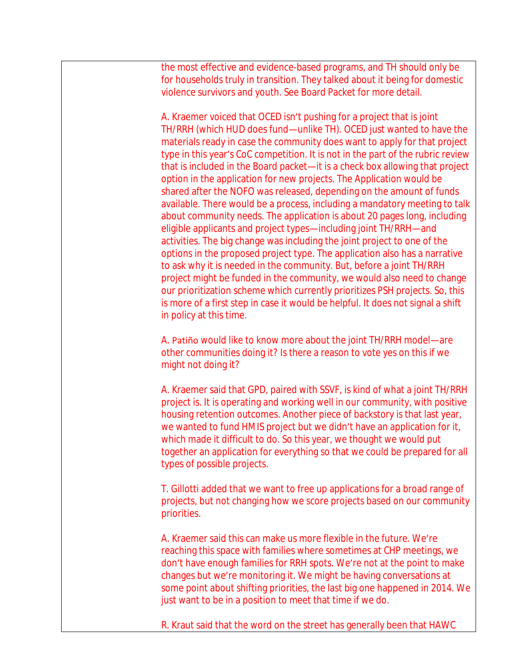the most effective and evidence-based programs, and TH should only be for households truly in transition. They talked about it being for domestic violence survivors and youth. See Board Packet for more detail.

A. Kraemer voiced that OCED isn't pushing for a project that is joint TH/RRH (which HUD does fund—unlike TH). OCED just wanted to have the materials ready in case the community does want to apply for that project type in this year's CoC competition. It is not in the part of the rubric review that is included in the Board packet—it is a check box allowing that project option in the application for new projects. The Application would be shared after the NOFO was released, depending on the amount of funds available. There would be a process, including a mandatory meeting to talk about community needs. The application is about 20 pages long, including eligible applicants and project types—including joint TH/RRH—and activities. The big change was including the joint project to one of the options in the proposed project type. The application also has a narrative to ask why it is needed in the community. But, before a joint TH/RRH project might be funded in the community, we would also need to change our prioritization scheme which currently prioritizes PSH projects. So, this is more of a first step in case it would be helpful. It does not signal a shift in policy at this time.

A. Patiño would like to know more about the joint TH/RRH model—are other communities doing it? Is there a reason to vote yes on this if we might not doing it?

A. Kraemer said that GPD, paired with SSVF, is kind of what a joint TH/RRH project is. It is operating and working well in our community, with positive housing retention outcomes. Another piece of backstory is that last year, we wanted to fund HMIS project but we didn't have an application for it, which made it difficult to do. So this year, we thought we would put together an application for everything so that we could be prepared for all types of possible projects.

T. Gillotti added that we want to free up applications for a broad range of projects, but not changing how we score projects based on our community priorities.

A. Kraemer said this can make us more flexible in the future. We're reaching this space with families where sometimes at CHP meetings, we don't have enough families for RRH spots. We're not at the point to make changes but we're monitoring it. We might be having conversations at some point about shifting priorities, the last big one happened in 2014. We just want to be in a position to meet that time if we do.

R. Kraut said that the word on the street has generally been that HAWC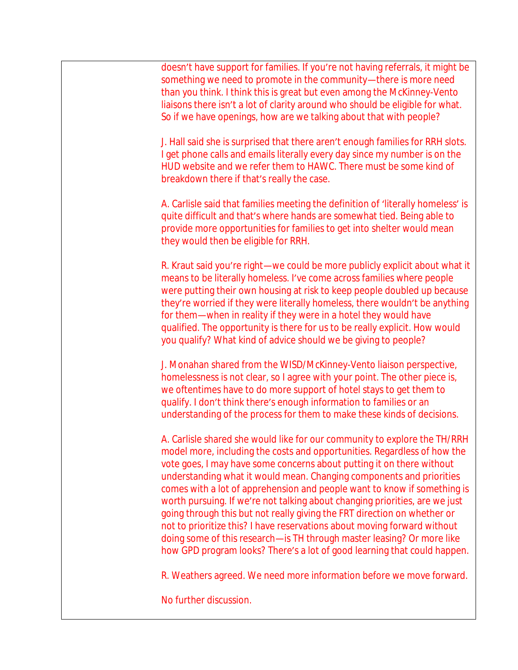doesn't have support for families. If you're not having referrals, it might be something we need to promote in the community—there is more need than you think. I think this is great but even among the McKinney-Vento liaisons there isn't a lot of clarity around who should be eligible for what. So if we have openings, how are we talking about that with people?

J. Hall said she is surprised that there aren't enough families for RRH slots. I get phone calls and emails literally every day since my number is on the HUD website and we refer them to HAWC. There must be some kind of breakdown there if that's really the case.

A. Carlisle said that families meeting the definition of 'literally homeless' is quite difficult and that's where hands are somewhat tied. Being able to provide more opportunities for families to get into shelter would mean they would then be eligible for RRH.

R. Kraut said you're right—we could be more publicly explicit about what it means to be literally homeless. I've come across families where people were putting their own housing at risk to keep people doubled up because they're worried if they were literally homeless, there wouldn't be anything for them—when in reality if they were in a hotel they would have qualified. The opportunity is there for us to be really explicit. How would you qualify? What kind of advice should we be giving to people?

J. Monahan shared from the WISD/McKinney-Vento liaison perspective, homelessness is not clear, so I agree with your point. The other piece is, we oftentimes have to do more support of hotel stays to get them to qualify. I don't think there's enough information to families or an understanding of the process for them to make these kinds of decisions.

A. Carlisle shared she would like for our community to explore the TH/RRH model more, including the costs and opportunities. Regardless of how the vote goes, I may have some concerns about putting it on there without understanding what it would mean. Changing components and priorities comes with a lot of apprehension and people want to know if something is worth pursuing. If we're not talking about changing priorities, are we just going through this but not really giving the FRT direction on whether or not to prioritize this? I have reservations about moving forward without doing some of this research—is TH through master leasing? Or more like how GPD program looks? There's a lot of good learning that could happen.

R. Weathers agreed. We need more information before we move forward.

No further discussion.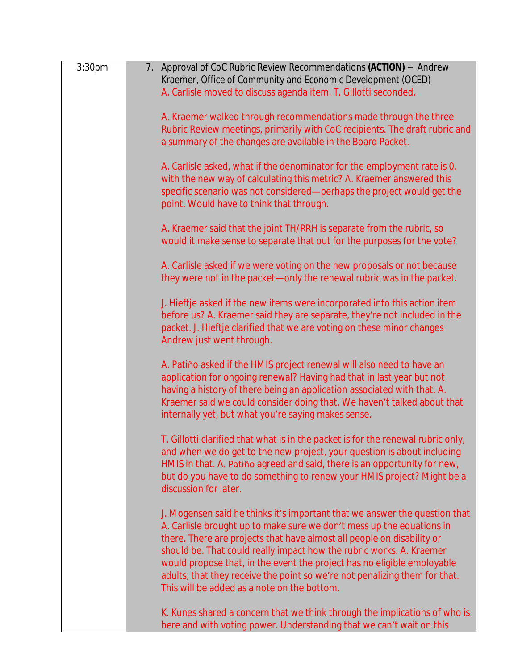| 3:30 <sub>pm</sub> | 7. Approval of CoC Rubric Review Recommendations (ACTION) - Andrew<br>Kraemer, Office of Community and Economic Development (OCED)<br>A. Carlisle moved to discuss agenda item. T. Gillotti seconded.                                                                                                                                                                                                                                                                                                         |
|--------------------|---------------------------------------------------------------------------------------------------------------------------------------------------------------------------------------------------------------------------------------------------------------------------------------------------------------------------------------------------------------------------------------------------------------------------------------------------------------------------------------------------------------|
|                    | A. Kraemer walked through recommendations made through the three<br>Rubric Review meetings, primarily with CoC recipients. The draft rubric and<br>a summary of the changes are available in the Board Packet.                                                                                                                                                                                                                                                                                                |
|                    | A. Carlisle asked, what if the denominator for the employment rate is 0,<br>with the new way of calculating this metric? A. Kraemer answered this<br>specific scenario was not considered-perhaps the project would get the<br>point. Would have to think that through.                                                                                                                                                                                                                                       |
|                    | A. Kraemer said that the joint TH/RRH is separate from the rubric, so<br>would it make sense to separate that out for the purposes for the vote?                                                                                                                                                                                                                                                                                                                                                              |
|                    | A. Carlisle asked if we were voting on the new proposals or not because<br>they were not in the packet-only the renewal rubric was in the packet.                                                                                                                                                                                                                                                                                                                                                             |
|                    | J. Hieftje asked if the new items were incorporated into this action item<br>before us? A. Kraemer said they are separate, they're not included in the<br>packet. J. Hieftje clarified that we are voting on these minor changes<br>Andrew just went through.                                                                                                                                                                                                                                                 |
|                    | A. Patiño asked if the HMIS project renewal will also need to have an<br>application for ongoing renewal? Having had that in last year but not<br>having a history of there being an application associated with that. A.<br>Kraemer said we could consider doing that. We haven't talked about that<br>internally yet, but what you're saying makes sense.                                                                                                                                                   |
|                    | T. Gillotti clarified that what is in the packet is for the renewal rubric only,<br>and when we do get to the new project, your question is about including<br>HMIS in that. A. Patiño agreed and said, there is an opportunity for new,<br>but do you have to do something to renew your HMIS project? Might be a<br>discussion for later.                                                                                                                                                                   |
|                    | J. Mogensen said he thinks it's important that we answer the question that<br>A. Carlisle brought up to make sure we don't mess up the equations in<br>there. There are projects that have almost all people on disability or<br>should be. That could really impact how the rubric works. A. Kraemer<br>would propose that, in the event the project has no eligible employable<br>adults, that they receive the point so we're not penalizing them for that.<br>This will be added as a note on the bottom. |
|                    | K. Kunes shared a concern that we think through the implications of who is<br>here and with voting power. Understanding that we can't wait on this                                                                                                                                                                                                                                                                                                                                                            |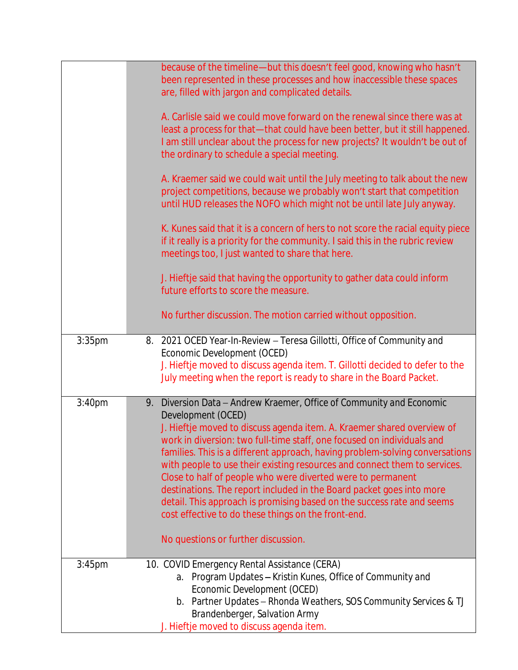|                    | because of the timeline-but this doesn't feel good, knowing who hasn't<br>been represented in these processes and how inaccessible these spaces<br>are, filled with jargon and complicated details.<br>A. Carlisle said we could move forward on the renewal since there was at<br>least a process for that-that could have been better, but it still happened.<br>I am still unclear about the process for new projects? It wouldn't be out of<br>the ordinary to schedule a special meeting.<br>A. Kraemer said we could wait until the July meeting to talk about the new<br>project competitions, because we probably won't start that competition<br>until HUD releases the NOFO which might not be until late July anyway.<br>K. Kunes said that it is a concern of hers to not score the racial equity piece<br>if it really is a priority for the community. I said this in the rubric review<br>meetings too, I just wanted to share that here.<br>J. Hieftje said that having the opportunity to gather data could inform<br>future efforts to score the measure.<br>No further discussion. The motion carried without opposition. |
|--------------------|----------------------------------------------------------------------------------------------------------------------------------------------------------------------------------------------------------------------------------------------------------------------------------------------------------------------------------------------------------------------------------------------------------------------------------------------------------------------------------------------------------------------------------------------------------------------------------------------------------------------------------------------------------------------------------------------------------------------------------------------------------------------------------------------------------------------------------------------------------------------------------------------------------------------------------------------------------------------------------------------------------------------------------------------------------------------------------------------------------------------------------------------|
| $3:35$ pm          | 2021 OCED Year-In-Review - Teresa Gillotti, Office of Community and<br>8.<br>Economic Development (OCED)<br>J. Hieftje moved to discuss agenda item. T. Gillotti decided to defer to the<br>July meeting when the report is ready to share in the Board Packet.                                                                                                                                                                                                                                                                                                                                                                                                                                                                                                                                                                                                                                                                                                                                                                                                                                                                              |
| 3:40 <sub>pm</sub> | Diversion Data - Andrew Kraemer, Office of Community and Economic<br>9.<br>Development (OCED)<br>J. Hieftje moved to discuss agenda item. A. Kraemer shared overview of<br>work in diversion: two full-time staff, one focused on individuals and<br>families. This is a different approach, having problem-solving conversations<br>with people to use their existing resources and connect them to services.<br>Close to half of people who were diverted were to permanent<br>destinations. The report included in the Board packet goes into more<br>detail. This approach is promising based on the success rate and seems<br>cost effective to do these things on the front-end.<br>No questions or further discussion.                                                                                                                                                                                                                                                                                                                                                                                                                |
| $3:45$ pm          | 10. COVID Emergency Rental Assistance (CERA)<br>Program Updates - Kristin Kunes, Office of Community and<br>а.<br>Economic Development (OCED)<br>b. Partner Updates - Rhonda Weathers, SOS Community Services & TJ<br>Brandenberger, Salvation Army<br>J. Hieftje moved to discuss agenda item.                                                                                                                                                                                                                                                                                                                                                                                                                                                                                                                                                                                                                                                                                                                                                                                                                                              |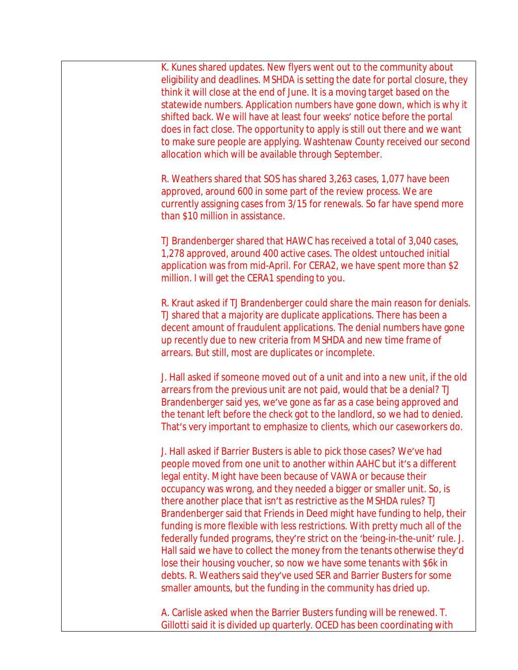K. Kunes shared updates. New flyers went out to the community about eligibility and deadlines. MSHDA is setting the date for portal closure, they think it will close at the end of June. It is a moving target based on the statewide numbers. Application numbers have gone down, which is why it shifted back. We will have at least four weeks' notice before the portal does in fact close. The opportunity to apply is still out there and we want to make sure people are applying. Washtenaw County received our second allocation which will be available through September.

R. Weathers shared that SOS has shared 3,263 cases, 1,077 have been approved, around 600 in some part of the review process. We are currently assigning cases from 3/15 for renewals. So far have spend more than \$10 million in assistance.

TJ Brandenberger shared that HAWC has received a total of 3,040 cases, 1,278 approved, around 400 active cases. The oldest untouched initial application was from mid-April. For CERA2, we have spent more than \$2 million. I will get the CERA1 spending to you.

R. Kraut asked if TJ Brandenberger could share the main reason for denials. TJ shared that a majority are duplicate applications. There has been a decent amount of fraudulent applications. The denial numbers have gone up recently due to new criteria from MSHDA and new time frame of arrears. But still, most are duplicates or incomplete.

J. Hall asked if someone moved out of a unit and into a new unit, if the old arrears from the previous unit are not paid, would that be a denial? TJ Brandenberger said yes, we've gone as far as a case being approved and the tenant left before the check got to the landlord, so we had to denied. That's very important to emphasize to clients, which our caseworkers do.

J. Hall asked if Barrier Busters is able to pick those cases? We've had people moved from one unit to another within AAHC but it's a different legal entity. Might have been because of VAWA or because their occupancy was wrong, and they needed a bigger or smaller unit. So, is there another place that isn't as restrictive as the MSHDA rules? TJ Brandenberger said that Friends in Deed might have funding to help, their funding is more flexible with less restrictions. With pretty much all of the federally funded programs, they're strict on the 'being-in-the-unit' rule. J. Hall said we have to collect the money from the tenants otherwise they'd lose their housing voucher, so now we have some tenants with \$6k in debts. R. Weathers said they've used SER and Barrier Busters for some smaller amounts, but the funding in the community has dried up.

A. Carlisle asked when the Barrier Busters funding will be renewed. T. Gillotti said it is divided up quarterly. OCED has been coordinating with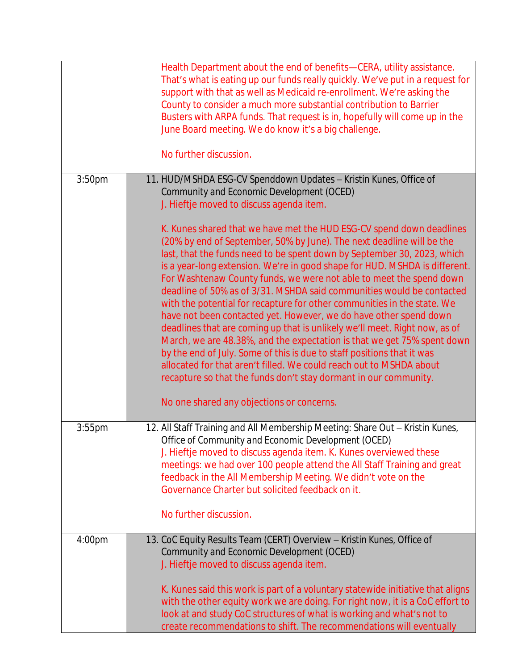|                    | Health Department about the end of benefits-CERA, utility assistance.<br>That's what is eating up our funds really quickly. We've put in a request for<br>support with that as well as Medicaid re-enrollment. We're asking the<br>County to consider a much more substantial contribution to Barrier<br>Busters with ARPA funds. That request is in, hopefully will come up in the<br>June Board meeting. We do know it's a big challenge.<br>No further discussion.                                                                                                                                                                                                                                                                                                                                                                                                                                                                                                                                                             |
|--------------------|-----------------------------------------------------------------------------------------------------------------------------------------------------------------------------------------------------------------------------------------------------------------------------------------------------------------------------------------------------------------------------------------------------------------------------------------------------------------------------------------------------------------------------------------------------------------------------------------------------------------------------------------------------------------------------------------------------------------------------------------------------------------------------------------------------------------------------------------------------------------------------------------------------------------------------------------------------------------------------------------------------------------------------------|
| 3:50 <sub>pm</sub> | 11. HUD/MSHDA ESG-CV Spenddown Updates - Kristin Kunes, Office of                                                                                                                                                                                                                                                                                                                                                                                                                                                                                                                                                                                                                                                                                                                                                                                                                                                                                                                                                                 |
|                    | Community and Economic Development (OCED)<br>J. Hieftje moved to discuss agenda item.                                                                                                                                                                                                                                                                                                                                                                                                                                                                                                                                                                                                                                                                                                                                                                                                                                                                                                                                             |
|                    | K. Kunes shared that we have met the HUD ESG-CV spend down deadlines<br>(20% by end of September, 50% by June). The next deadline will be the<br>last, that the funds need to be spent down by September 30, 2023, which<br>is a year-long extension. We're in good shape for HUD. MSHDA is different.<br>For Washtenaw County funds, we were not able to meet the spend down<br>deadline of 50% as of 3/31. MSHDA said communities would be contacted<br>with the potential for recapture for other communities in the state. We<br>have not been contacted yet. However, we do have other spend down<br>deadlines that are coming up that is unlikely we'll meet. Right now, as of<br>March, we are 48.38%, and the expectation is that we get 75% spent down<br>by the end of July. Some of this is due to staff positions that it was<br>allocated for that aren't filled. We could reach out to MSHDA about<br>recapture so that the funds don't stay dormant in our community.<br>No one shared any objections or concerns. |
| 3:55pm             | 12. All Staff Training and All Membership Meeting: Share Out - Kristin Kunes,                                                                                                                                                                                                                                                                                                                                                                                                                                                                                                                                                                                                                                                                                                                                                                                                                                                                                                                                                     |
|                    | Office of Community and Economic Development (OCED)                                                                                                                                                                                                                                                                                                                                                                                                                                                                                                                                                                                                                                                                                                                                                                                                                                                                                                                                                                               |
|                    | J. Hieftje moved to discuss agenda item. K. Kunes overviewed these<br>meetings: we had over 100 people attend the All Staff Training and great                                                                                                                                                                                                                                                                                                                                                                                                                                                                                                                                                                                                                                                                                                                                                                                                                                                                                    |
|                    | feedback in the All Membership Meeting. We didn't vote on the                                                                                                                                                                                                                                                                                                                                                                                                                                                                                                                                                                                                                                                                                                                                                                                                                                                                                                                                                                     |
|                    | Governance Charter but solicited feedback on it.                                                                                                                                                                                                                                                                                                                                                                                                                                                                                                                                                                                                                                                                                                                                                                                                                                                                                                                                                                                  |
|                    | No further discussion.                                                                                                                                                                                                                                                                                                                                                                                                                                                                                                                                                                                                                                                                                                                                                                                                                                                                                                                                                                                                            |
| 4:00 <sub>pm</sub> | 13. CoC Equity Results Team (CERT) Overview - Kristin Kunes, Office of<br>Community and Economic Development (OCED)<br>J. Hieftje moved to discuss agenda item.                                                                                                                                                                                                                                                                                                                                                                                                                                                                                                                                                                                                                                                                                                                                                                                                                                                                   |
|                    | K. Kunes said this work is part of a voluntary statewide initiative that aligns<br>with the other equity work we are doing. For right now, it is a CoC effort to<br>look at and study CoC structures of what is working and what's not to<br>create recommendations to shift. The recommendations will eventually                                                                                                                                                                                                                                                                                                                                                                                                                                                                                                                                                                                                                                                                                                                 |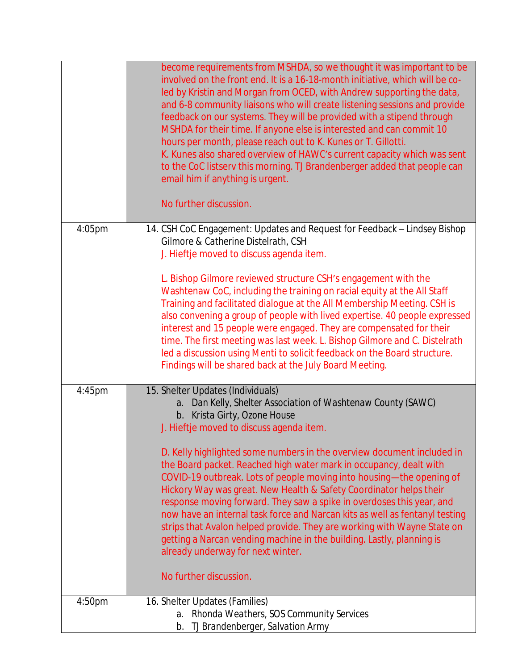|        | become requirements from MSHDA, so we thought it was important to be<br>involved on the front end. It is a 16-18-month initiative, which will be co-<br>led by Kristin and Morgan from OCED, with Andrew supporting the data,<br>and 6-8 community liaisons who will create listening sessions and provide<br>feedback on our systems. They will be provided with a stipend through<br>MSHDA for their time. If anyone else is interested and can commit 10<br>hours per month, please reach out to K. Kunes or T. Gillotti.<br>K. Kunes also shared overview of HAWC's current capacity which was sent<br>to the CoC listserv this morning. TJ Brandenberger added that people can<br>email him if anything is urgent.<br>No further discussion. |
|--------|---------------------------------------------------------------------------------------------------------------------------------------------------------------------------------------------------------------------------------------------------------------------------------------------------------------------------------------------------------------------------------------------------------------------------------------------------------------------------------------------------------------------------------------------------------------------------------------------------------------------------------------------------------------------------------------------------------------------------------------------------|
| 4:05pm | 14. CSH CoC Engagement: Updates and Request for Feedback - Lindsey Bishop<br>Gilmore & Catherine Distelrath, CSH<br>J. Hieftje moved to discuss agenda item.                                                                                                                                                                                                                                                                                                                                                                                                                                                                                                                                                                                      |
|        | L. Bishop Gilmore reviewed structure CSH's engagement with the<br>Washtenaw CoC, including the training on racial equity at the All Staff<br>Training and facilitated dialogue at the All Membership Meeting. CSH is<br>also convening a group of people with lived expertise. 40 people expressed<br>interest and 15 people were engaged. They are compensated for their<br>time. The first meeting was last week. L. Bishop Gilmore and C. Distelrath<br>led a discussion using Menti to solicit feedback on the Board structure.<br>Findings will be shared back at the July Board Meeting.                                                                                                                                                    |
| 4:45pm | 15. Shelter Updates (Individuals)<br>a. Dan Kelly, Shelter Association of Washtenaw County (SAWC)<br>b. Krista Girty, Ozone House<br>J. Hieftje moved to discuss agenda item.                                                                                                                                                                                                                                                                                                                                                                                                                                                                                                                                                                     |
|        | D. Kelly highlighted some numbers in the overview document included in<br>the Board packet. Reached high water mark in occupancy, dealt with<br>COVID-19 outbreak. Lots of people moving into housing-the opening of<br>Hickory Way was great. New Health & Safety Coordinator helps their<br>response moving forward. They saw a spike in overdoses this year, and<br>now have an internal task force and Narcan kits as well as fentanyl testing<br>strips that Avalon helped provide. They are working with Wayne State on<br>getting a Narcan vending machine in the building. Lastly, planning is<br>already underway for next winter.<br>No further discussion.                                                                             |
| 4:50pm | 16. Shelter Updates (Families)                                                                                                                                                                                                                                                                                                                                                                                                                                                                                                                                                                                                                                                                                                                    |
|        | Rhonda Weathers, SOS Community Services<br>a.<br>TJ Brandenberger, Salvation Army<br>b.                                                                                                                                                                                                                                                                                                                                                                                                                                                                                                                                                                                                                                                           |